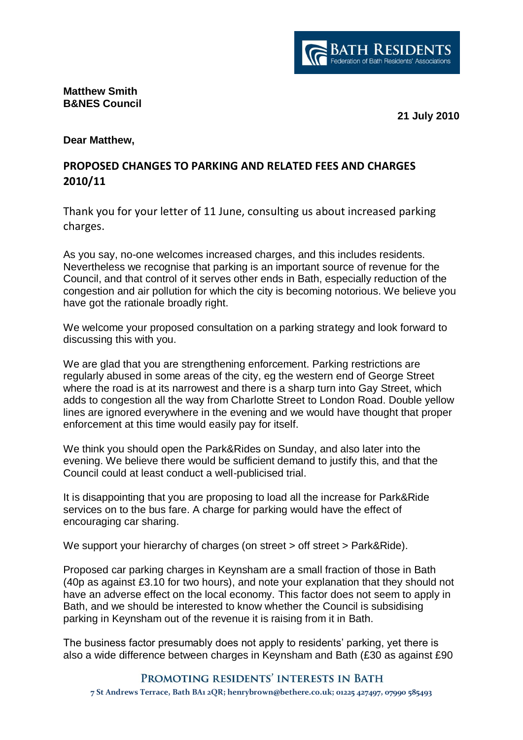

## **Matthew Smith B&NES Council**

**21 July 2010**

## **Dear Matthew,**

## **PROPOSED CHANGES TO PARKING AND RELATED FEES AND CHARGES 2010/11**

Thank you for your letter of 11 June, consulting us about increased parking charges.

As you say, no-one welcomes increased charges, and this includes residents. Nevertheless we recognise that parking is an important source of revenue for the Council, and that control of it serves other ends in Bath, especially reduction of the congestion and air pollution for which the city is becoming notorious. We believe you have got the rationale broadly right.

We welcome your proposed consultation on a parking strategy and look forward to discussing this with you.

We are glad that you are strengthening enforcement. Parking restrictions are regularly abused in some areas of the city, eg the western end of George Street where the road is at its narrowest and there is a sharp turn into Gay Street, which adds to congestion all the way from Charlotte Street to London Road. Double yellow lines are ignored everywhere in the evening and we would have thought that proper enforcement at this time would easily pay for itself.

We think you should open the Park&Rides on Sunday, and also later into the evening. We believe there would be sufficient demand to justify this, and that the Council could at least conduct a well-publicised trial.

It is disappointing that you are proposing to load all the increase for Park&Ride services on to the bus fare. A charge for parking would have the effect of encouraging car sharing.

We support your hierarchy of charges (on street > off street > Park&Ride).

Proposed car parking charges in Keynsham are a small fraction of those in Bath (40p as against £3.10 for two hours), and note your explanation that they should not have an adverse effect on the local economy. This factor does not seem to apply in Bath, and we should be interested to know whether the Council is subsidising parking in Keynsham out of the revenue it is raising from it in Bath.

The business factor presumably does not apply to residents' parking, yet there is also a wide difference between charges in Keynsham and Bath (£30 as against £90